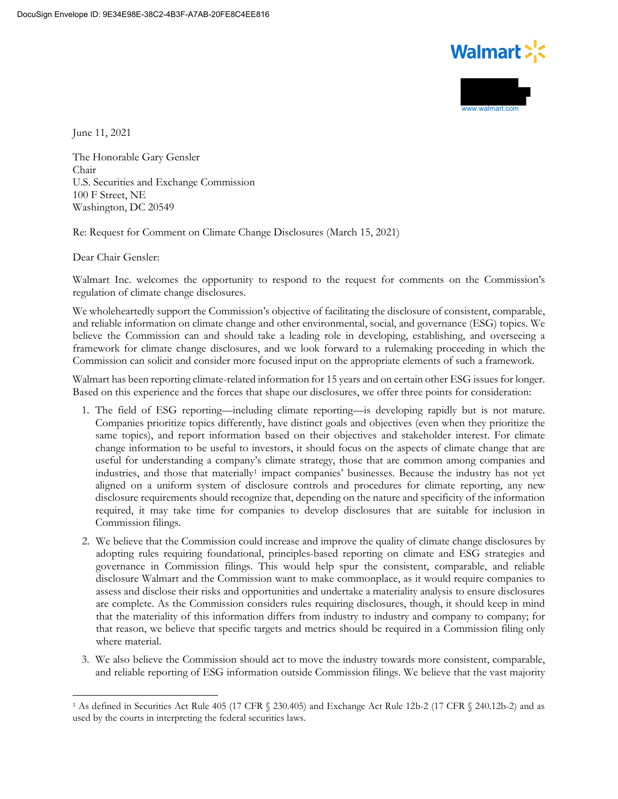



June 11, 2021

The Honorable Gary Gensler Chair U.S. Securities and Exchange Commission 100 F Street, NE Washington, DC 20549

Re: Request for Comment on Climate Change Disclosures (March 15, 2021)

Dear Chair Gensler:

Walmart Inc. welcomes the opportunity to respond to the request for comments on the Commission's regulation of climate change disclosures.

We wholeheartedly support the Commission's objective of facilitating the disclosure of consistent, comparable, and reliable information on climate change and other environmental, social, and governance (ESG) topics. We believe the Commission can and should take a leading role in developing, establishing, and overseeing a framework for climate change disclosures, and we look forward to a rulemaking proceeding in which the Commission can solicit and consider more focused input on the appropriate elements of such a framework.

Walmart has been reporting climate-related information for 15 years and on certain other ESG issues for longer. Based on this experience and the forces that shape our disclosures, we offer three points for consideration:

- 1. The field of ESG reporting—including climate reporting—is developing rapidly but is not mature. Companies prioritize topics differently, have distinct goals and objectives (even when they prioritize the same topics), and report information based on their objectives and stakeholder interest. For climate change information to be useful to investors, it should focus on the aspects of climate change that are useful for understanding a company's climate strategy, those that are common among companies and industries, and those that materially<sup>[1](#page-0-0)</sup> impact companies' businesses. Because the industry has not yet aligned on a uniform system of disclosure controls and procedures for climate reporting, any new disclosure requirements should recognize that, depending on the nature and specificity of the information required, it may take time for companies to develop disclosures that are suitable for inclusion in Commission filings.
- 2. We believe that the Commission could increase and improve the quality of climate change disclosures by adopting rules requiring foundational, principles-based reporting on climate and ESG strategies and governance in Commission filings. This would help spur the consistent, comparable, and reliable disclosure Walmart and the Commission want to make commonplace, as it would require companies to assess and disclose their risks and opportunities and undertake a materiality analysis to ensure disclosures are complete. As the Commission considers rules requiring disclosures, though, it should keep in mind that the materiality of this information differs from industry to industry and company to company; for that reason, we believe that specific targets and metrics should be required in a Commission filing only where material.
- 3. We also believe the Commission should act to move the industry towards more consistent, comparable, and reliable reporting of ESG information outside Commission filings. We believe that the vast majority

<span id="page-0-0"></span><sup>1</sup> As defined in Securities Act Rule 405 (17 CFR § 230.405) and Exchange Act Rule 12b-2 (17 CFR § 240.12b-2) and as used by the courts in interpreting the federal securities laws.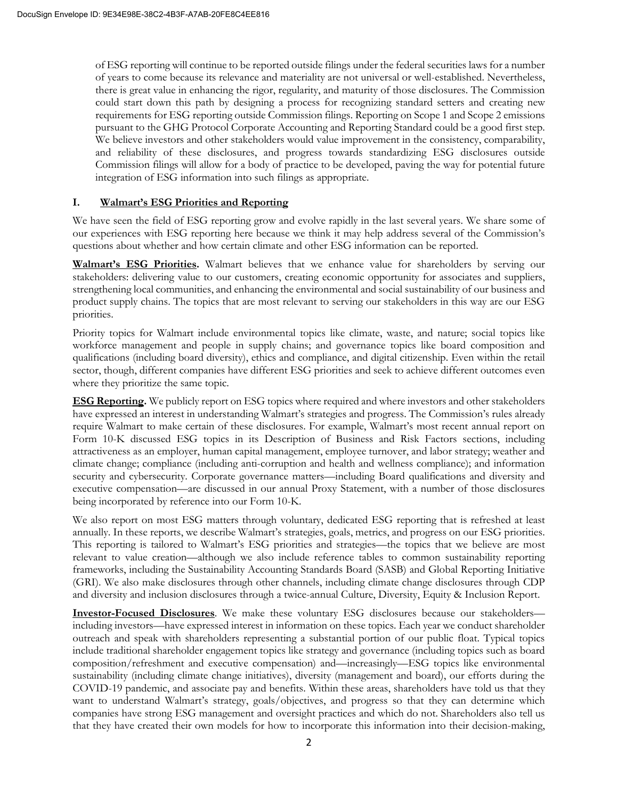of ESG reporting will continue to be reported outside filings under the federal securities laws for a number of years to come because its relevance and materiality are not universal or well-established. Nevertheless, there is great value in enhancing the rigor, regularity, and maturity of those disclosures. The Commission could start down this path by designing a process for recognizing standard setters and creating new requirements for ESG reporting outside Commission filings. Reporting on Scope 1 and Scope 2 emissions pursuant to the GHG Protocol Corporate Accounting and Reporting Standard could be a good first step. We believe investors and other stakeholders would value improvement in the consistency, comparability, and reliability of these disclosures, and progress towards standardizing ESG disclosures outside Commission filings will allow for a body of practice to be developed, paving the way for potential future integration of ESG information into such filings as appropriate.

# **I. Walmart's ESG Priorities and Reporting**

We have seen the field of ESG reporting grow and evolve rapidly in the last several years. We share some of our experiences with ESG reporting here because we think it may help address several of the Commission's questions about whether and how certain climate and other ESG information can be reported.

**Walmart's ESG Priorities.** Walmart believes that we enhance value for shareholders by serving our stakeholders: delivering value to our customers, creating economic opportunity for associates and suppliers, strengthening local communities, and enhancing the environmental and social sustainability of our business and product supply chains. The topics that are most relevant to serving our stakeholders in this way are our ESG priorities.

Priority topics for Walmart include environmental topics like climate, waste, and nature; social topics like workforce management and people in supply chains; and governance topics like board composition and qualifications (including board diversity), ethics and compliance, and digital citizenship. Even within the retail sector, though, different companies have different ESG priorities and seek to achieve different outcomes even where they prioritize the same topic.

**ESG Reporting.** We publicly report on ESG topics where required and where investors and other stakeholders have expressed an interest in understanding Walmart's strategies and progress. The Commission's rules already require Walmart to make certain of these disclosures. For example, Walmart's most recent annual report on Form 10-K discussed ESG topics in its Description of Business and Risk Factors sections, including attractiveness as an employer, human capital management, employee turnover, and labor strategy; weather and climate change; compliance (including anti-corruption and health and wellness compliance); and information security and cybersecurity. Corporate governance matters—including Board qualifications and diversity and executive compensation—are discussed in our annual Proxy Statement, with a number of those disclosures being incorporated by reference into our Form 10-K.

We also report on most ESG matters through voluntary, dedicated ESG reporting that is refreshed at least annually. In these reports, we describe Walmart's strategies, goals, metrics, and progress on our ESG priorities. This reporting is tailored to Walmart's ESG priorities and strategies—the topics that we believe are most relevant to value creation—although we also include reference tables to common sustainability reporting frameworks, including the Sustainability Accounting Standards Board (SASB) and Global Reporting Initiative (GRI). We also make disclosures through other channels, including climate change disclosures through CDP and diversity and inclusion disclosures through a twice-annual Culture, Diversity, Equity & Inclusion Report.

**Investor-Focused Disclosures**. We make these voluntary ESG disclosures because our stakeholders including investors—have expressed interest in information on these topics. Each year we conduct shareholder outreach and speak with shareholders representing a substantial portion of our public float. Typical topics include traditional shareholder engagement topics like strategy and governance (including topics such as board composition/refreshment and executive compensation) and—increasingly—ESG topics like environmental sustainability (including climate change initiatives), diversity (management and board), our efforts during the COVID-19 pandemic, and associate pay and benefits. Within these areas, shareholders have told us that they want to understand Walmart's strategy, goals/objectives, and progress so that they can determine which companies have strong ESG management and oversight practices and which do not. Shareholders also tell us that they have created their own models for how to incorporate this information into their decision-making,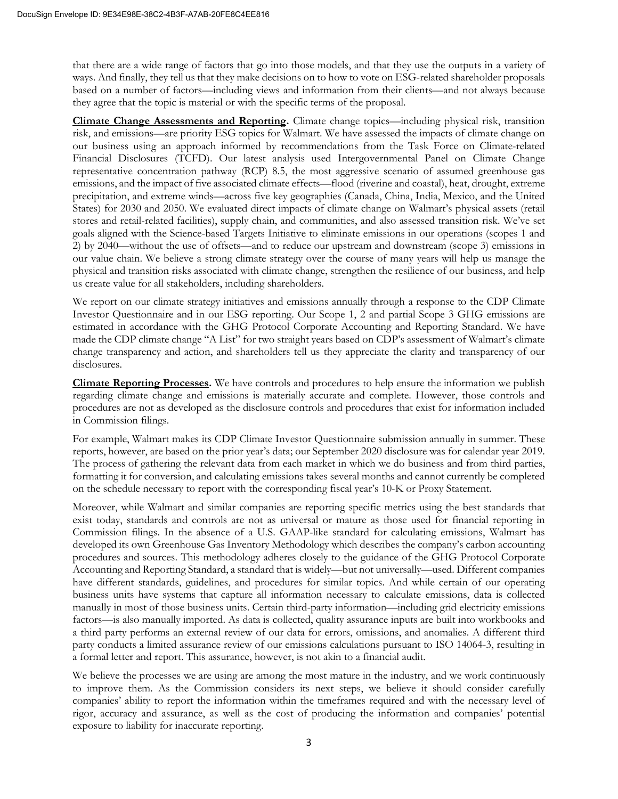that there are a wide range of factors that go into those models, and that they use the outputs in a variety of ways. And finally, they tell us that they make decisions on to how to vote on ESG-related shareholder proposals based on a number of factors—including views and information from their clients—and not always because they agree that the topic is material or with the specific terms of the proposal.

**Climate Change Assessments and Reporting.** Climate change topics—including physical risk, transition risk, and emissions—are priority ESG topics for Walmart. We have assessed the impacts of climate change on our business using an approach informed by recommendations from the Task Force on Climate-related Financial Disclosures (TCFD). Our latest analysis used Intergovernmental Panel on Climate Change representative concentration pathway (RCP) 8.5, the most aggressive scenario of assumed greenhouse gas emissions, and the impact of five associated climate effects—flood (riverine and coastal), heat, drought, extreme precipitation, and extreme winds—across five key geographies (Canada, China, India, Mexico, and the United States) for 2030 and 2050. We evaluated direct impacts of climate change on Walmart's physical assets (retail stores and retail-related facilities), supply chain, and communities, and also assessed transition risk. We've set goals aligned with the Science-based Targets Initiative to eliminate emissions in our operations (scopes 1 and 2) by 2040—without the use of offsets—and to reduce our upstream and downstream (scope 3) emissions in our value chain. We believe a strong climate strategy over the course of many years will help us manage the physical and transition risks associated with climate change, strengthen the resilience of our business, and help us create value for all stakeholders, including shareholders.

We report on our climate strategy initiatives and emissions annually through a response to the CDP Climate Investor Questionnaire and in our ESG reporting. Our Scope 1, 2 and partial Scope 3 GHG emissions are estimated in accordance with the GHG Protocol Corporate Accounting and Reporting Standard. We have made the CDP climate change "A List" for two straight years based on CDP's assessment of Walmart's climate change transparency and action, and shareholders tell us they appreciate the clarity and transparency of our disclosures.

**Climate Reporting Processes.** We have controls and procedures to help ensure the information we publish regarding climate change and emissions is materially accurate and complete. However, those controls and procedures are not as developed as the disclosure controls and procedures that exist for information included in Commission filings.

For example, Walmart makes its CDP Climate Investor Questionnaire submission annually in summer. These reports, however, are based on the prior year's data; our September 2020 disclosure was for calendar year 2019. The process of gathering the relevant data from each market in which we do business and from third parties, formatting it for conversion, and calculating emissions takes several months and cannot currently be completed on the schedule necessary to report with the corresponding fiscal year's 10-K or Proxy Statement.

Moreover, while Walmart and similar companies are reporting specific metrics using the best standards that exist today, standards and controls are not as universal or mature as those used for financial reporting in Commission filings. In the absence of a U.S. GAAP-like standard for calculating emissions, Walmart has developed its own Greenhouse Gas Inventory Methodology which describes the company's carbon accounting procedures and sources. This methodology adheres closely to the guidance of the GHG Protocol Corporate Accounting and Reporting Standard, a standard that is widely—but not universally—used. Different companies have different standards, guidelines, and procedures for similar topics. And while certain of our operating business units have systems that capture all information necessary to calculate emissions, data is collected manually in most of those business units. Certain third-party information—including grid electricity emissions factors—is also manually imported. As data is collected, quality assurance inputs are built into workbooks and a third party performs an external review of our data for errors, omissions, and anomalies. A different third party conducts a limited assurance review of our emissions calculations pursuant to ISO 14064-3, resulting in a formal letter and report. This assurance, however, is not akin to a financial audit.

We believe the processes we are using are among the most mature in the industry, and we work continuously to improve them. As the Commission considers its next steps, we believe it should consider carefully companies' ability to report the information within the timeframes required and with the necessary level of rigor, accuracy and assurance, as well as the cost of producing the information and companies' potential exposure to liability for inaccurate reporting.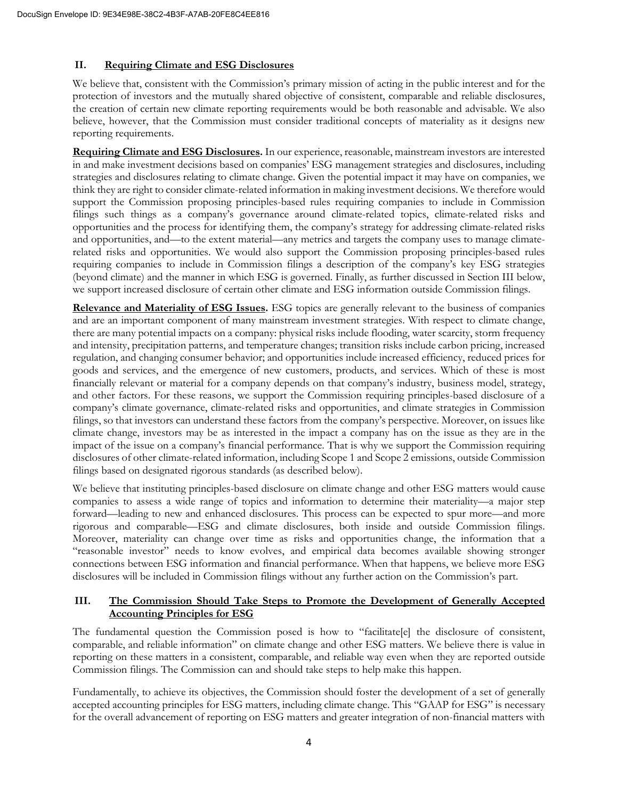# **II. Requiring Climate and ESG Disclosures**

We believe that, consistent with the Commission's primary mission of acting in the public interest and for the protection of investors and the mutually shared objective of consistent, comparable and reliable disclosures, the creation of certain new climate reporting requirements would be both reasonable and advisable. We also believe, however, that the Commission must consider traditional concepts of materiality as it designs new reporting requirements.

**Requiring Climate and ESG Disclosures.** In our experience, reasonable, mainstream investors are interested in and make investment decisions based on companies' ESG management strategies and disclosures, including strategies and disclosures relating to climate change. Given the potential impact it may have on companies, we think they are right to consider climate-related information in making investment decisions. We therefore would support the Commission proposing principles-based rules requiring companies to include in Commission filings such things as a company's governance around climate-related topics, climate-related risks and opportunities and the process for identifying them, the company's strategy for addressing climate-related risks and opportunities, and—to the extent material—any metrics and targets the company uses to manage climaterelated risks and opportunities. We would also support the Commission proposing principles-based rules requiring companies to include in Commission filings a description of the company's key ESG strategies (beyond climate) and the manner in which ESG is governed. Finally, as further discussed in Section III below, we support increased disclosure of certain other climate and ESG information outside Commission filings.

**Relevance and Materiality of ESG Issues.** ESG topics are generally relevant to the business of companies and are an important component of many mainstream investment strategies. With respect to climate change, there are many potential impacts on a company: physical risks include flooding, water scarcity, storm frequency and intensity, precipitation patterns, and temperature changes; transition risks include carbon pricing, increased regulation, and changing consumer behavior; and opportunities include increased efficiency, reduced prices for goods and services, and the emergence of new customers, products, and services. Which of these is most financially relevant or material for a company depends on that company's industry, business model, strategy, and other factors. For these reasons, we support the Commission requiring principles-based disclosure of a company's climate governance, climate-related risks and opportunities, and climate strategies in Commission filings, so that investors can understand these factors from the company's perspective. Moreover, on issues like climate change, investors may be as interested in the impact a company has on the issue as they are in the impact of the issue on a company's financial performance. That is why we support the Commission requiring disclosures of other climate-related information, including Scope 1 and Scope 2 emissions, outside Commission filings based on designated rigorous standards (as described below).

We believe that instituting principles-based disclosure on climate change and other ESG matters would cause companies to assess a wide range of topics and information to determine their materiality—a major step forward—leading to new and enhanced disclosures. This process can be expected to spur more—and more rigorous and comparable—ESG and climate disclosures, both inside and outside Commission filings. Moreover, materiality can change over time as risks and opportunities change, the information that a "reasonable investor" needs to know evolves, and empirical data becomes available showing stronger connections between ESG information and financial performance. When that happens, we believe more ESG disclosures will be included in Commission filings without any further action on the Commission's part.

### **III. The Commission Should Take Steps to Promote the Development of Generally Accepted Accounting Principles for ESG**

The fundamental question the Commission posed is how to "facilitate[e] the disclosure of consistent, comparable, and reliable information" on climate change and other ESG matters. We believe there is value in reporting on these matters in a consistent, comparable, and reliable way even when they are reported outside Commission filings. The Commission can and should take steps to help make this happen.

Fundamentally, to achieve its objectives, the Commission should foster the development of a set of generally accepted accounting principles for ESG matters, including climate change. This "GAAP for ESG" is necessary for the overall advancement of reporting on ESG matters and greater integration of non-financial matters with